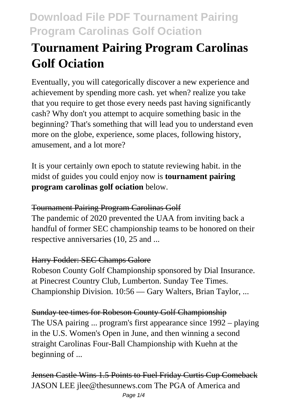# **Tournament Pairing Program Carolinas Golf Ociation**

Eventually, you will categorically discover a new experience and achievement by spending more cash. yet when? realize you take that you require to get those every needs past having significantly cash? Why don't you attempt to acquire something basic in the beginning? That's something that will lead you to understand even more on the globe, experience, some places, following history, amusement, and a lot more?

It is your certainly own epoch to statute reviewing habit. in the midst of guides you could enjoy now is **tournament pairing program carolinas golf ociation** below.

### Tournament Pairing Program Carolinas Golf

The pandemic of 2020 prevented the UAA from inviting back a handful of former SEC championship teams to be honored on their respective anniversaries (10, 25 and ...

## Harry Fodder: SEC Champs Galore

Robeson County Golf Championship sponsored by Dial Insurance. at Pinecrest Country Club, Lumberton. Sunday Tee Times. Championship Division. 10:56 — Gary Walters, Brian Taylor, ...

## Sunday tee times for Robeson County Golf Championship

The USA pairing ... program's first appearance since 1992 – playing in the U.S. Women's Open in June, and then winning a second straight Carolinas Four-Ball Championship with Kuehn at the beginning of ...

Jensen Castle Wins 1.5 Points to Fuel Friday Curtis Cup Comeback JASON LEE jlee@thesunnews.com The PGA of America and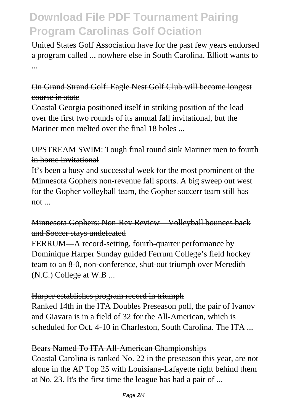United States Golf Association have for the past few years endorsed a program called ... nowhere else in South Carolina. Elliott wants to ...

#### On Grand Strand Golf: Eagle Nest Golf Club will become longest course in state

Coastal Georgia positioned itself in striking position of the lead over the first two rounds of its annual fall invitational, but the Mariner men melted over the final 18 holes ...

### UPSTREAM SWIM: Tough final round sink Mariner men to fourth in home invitational

It's been a busy and successful week for the most prominent of the Minnesota Gophers non-revenue fall sports. A big sweep out west for the Gopher volleyball team, the Gopher soccerr team still has not ...

### Minnesota Gophers: Non-Rev Review—Volleyball bounces back and Soccer stays undefeated

FERRUM—A record-setting, fourth-quarter performance by Dominique Harper Sunday guided Ferrum College's field hockey team to an 8-0, non-conference, shut-out triumph over Meredith (N.C.) College at W.B ...

#### Harper establishes program record in triumph

Ranked 14th in the ITA Doubles Preseason poll, the pair of Ivanov and Giavara is in a field of 32 for the All-American, which is scheduled for Oct. 4-10 in Charleston, South Carolina. The ITA ...

#### Bears Named To ITA All-American Championships

Coastal Carolina is ranked No. 22 in the preseason this year, are not alone in the AP Top 25 with Louisiana-Lafayette right behind them at No. 23. It's the first time the league has had a pair of ...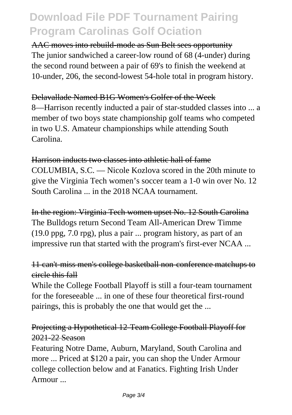AAC moves into rebuild-mode as Sun Belt sees opportunity The junior sandwiched a career-low round of 68 (4-under) during the second round between a pair of 69's to finish the weekend at 10-under, 206, the second-lowest 54-hole total in program history.

#### Delavallade Named B1G Women's Golfer of the Week

8—Harrison recently inducted a pair of star-studded classes into ... a member of two boys state championship golf teams who competed in two U.S. Amateur championships while attending South Carolina.

#### Harrison inducts two classes into athletic hall of fame

COLUMBIA, S.C. — Nicole Kozlova scored in the 20th minute to give the Virginia Tech women's soccer team a 1-0 win over No. 12 South Carolina ... in the 2018 NCAA tournament.

In the region: Virginia Tech women upset No. 12 South Carolina The Bulldogs return Second Team All-American Drew Timme (19.0 ppg, 7.0 rpg), plus a pair ... program history, as part of an impressive run that started with the program's first-ever NCAA ...

#### 11 can't-miss men's college basketball non-conference matchups to circle this fall

While the College Football Playoff is still a four-team tournament for the foreseeable ... in one of these four theoretical first-round pairings, this is probably the one that would get the ...

#### Projecting a Hypothetical 12-Team College Football Playoff for 2021-22 Season

Featuring Notre Dame, Auburn, Maryland, South Carolina and more ... Priced at \$120 a pair, you can shop the Under Armour college collection below and at Fanatics. Fighting Irish Under Armour ...